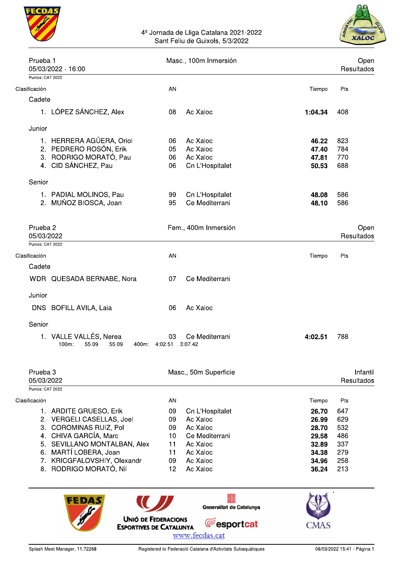

# 4<sup>º</sup> Jornada de Lliga Catalana 2021-2022<br>Sant Feliu de Guixols, 5/3/2022



| Prueba 1                          | 05/03/2022 - 16:00                                            | Masc., 100m Inmersión | Open<br>Resultados                  |                |            |                        |
|-----------------------------------|---------------------------------------------------------------|-----------------------|-------------------------------------|----------------|------------|------------------------|
| Puntos: CAT 2022                  |                                                               |                       |                                     |                |            |                        |
| Clasificación                     |                                                               | AN                    |                                     | Tiempo         | Pts        |                        |
| Cadete                            |                                                               |                       |                                     |                |            |                        |
|                                   | 1. LÓPEZ SÁNCHEZ, Alex                                        | 08                    | Ac Xaloc                            | 1:04.34        | 408        |                        |
| Junior                            |                                                               |                       |                                     |                |            |                        |
|                                   | 1. HERRERA AGÜERA, Oriol                                      | 06                    | Ac Xaloc                            | 46.22          | 823        |                        |
|                                   | 2. PEDRERO ROSÓN, Erik                                        | 05                    | Ac Xaloc                            | 47.40          | 784        |                        |
|                                   | 3. RODRIGO MORATÓ, Pau                                        | 06                    | Ac Xaloc                            | 47.81          | 770        |                        |
|                                   | 4. CID SÁNCHEZ, Pau                                           | 06                    | Cn L'Hospitalet                     | 50.53          | 688        |                        |
| Senior                            |                                                               |                       |                                     |                |            |                        |
|                                   | 1. PADIAL MOLINOS, Pau                                        | 99                    | Cn L'Hospitalet                     | 48.08          | 586        |                        |
|                                   | 2. MUÑOZ BIOSCA, Joan                                         | 95                    | Ce Mediterrani                      | 48.10          | 586        |                        |
|                                   |                                                               |                       |                                     |                |            |                        |
| Prueba <sub>2</sub><br>05/03/2022 |                                                               |                       | Fem., 400m Inmersión                |                |            | Open<br>Resultados     |
| Puntos: CAT 2022                  |                                                               |                       |                                     |                |            |                        |
| Clasificación                     |                                                               | AN                    |                                     | Tiempo         | Pts        |                        |
| Cadete                            |                                                               |                       |                                     |                |            |                        |
|                                   | WDR QUESADA BERNABE, Nora                                     | 07                    | Ce Mediterrani                      |                |            |                        |
| Junior                            |                                                               |                       |                                     |                |            |                        |
|                                   | DNS BOFILL AVILA, Laia                                        | 06                    | Ac Xaloc                            |                |            |                        |
| Senior                            |                                                               |                       |                                     |                |            |                        |
|                                   | 1. VALLE VALLÉS, Nerea<br>$100m$ :<br>55.09<br>55.09<br>400m: | 03<br>4:02.51 3:07.42 | Ce Mediterrani                      | 4:02.51        | 788        |                        |
| Prueba <sub>3</sub><br>05/03/2022 |                                                               |                       | Masc., 50m Superficie               |                |            | Infantil<br>Resultados |
| Puntos: CAT 2022                  |                                                               |                       |                                     |                |            |                        |
| Clasificación                     |                                                               | AN                    |                                     | Tiempo         | Pts        |                        |
|                                   | 1. ARDITE GRUESO, Erik                                        | 09                    | Cn L'Hospitalet                     | 26.70          | 647        |                        |
|                                   | 2. VERGELI CASELLAS, Joel                                     | 09                    | Ac Xaloc                            | 26.99          | 629        |                        |
|                                   | 3. COROMINAS RUIZ, Pol                                        | 09                    | Ac Xaloc                            | 28.70          | 532        |                        |
|                                   | 4. CHIVA GARCÍA, Marc<br>5. SEVILLANO MONTALBAN, Alex         | 10 <sup>°</sup><br>11 | Ce Mediterrani<br>Ac Xaloc          | 29.58<br>32.89 | 486<br>337 |                        |
|                                   | 6. MARTÍ LOBERA, Joan                                         | 11                    | Ac Xaloc                            | 34.38          | 279        |                        |
|                                   | 7. KRICGFALOVSHIY, Olexandr                                   | 09                    | Ac Xaloc                            | 34.96          | 258        |                        |
|                                   | 8. RODRIGO MORATÓ, Nil                                        | 12 <sup>2</sup>       | Ac Xaloc                            | 36.24          | 213        |                        |
|                                   | FEDAS<br><b>UNIÓ DE FEDERACIONS</b>                           |                       | Generalitat de Catalunya            |                |            |                        |
|                                   | <b>ESPORTIVES DE CATALUNYA</b>                                |                       | <b>Fesportcat</b><br>www.fecdas.cat | CMAS           |            |                        |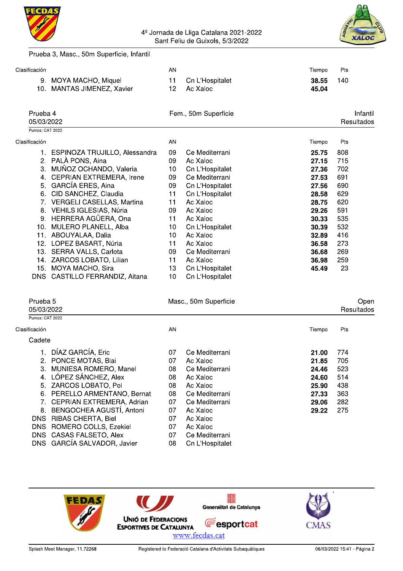

## 4<sup>º</sup> Jornada de Lliga Catalana 2021-2022<br>Sant Feliu de Guixols, 5/3/2022



Prueba 3, Masc., 50m Superficie, Infantil

| Clasificación                                         |                                                                                                                                                                                                                                                                                                                                                                                                                                                                | AN                                                                                           |                                                                                                                                                                                                                                                          | Tiempo                                                                                                                              | Pts                                                                                                  |
|-------------------------------------------------------|----------------------------------------------------------------------------------------------------------------------------------------------------------------------------------------------------------------------------------------------------------------------------------------------------------------------------------------------------------------------------------------------------------------------------------------------------------------|----------------------------------------------------------------------------------------------|----------------------------------------------------------------------------------------------------------------------------------------------------------------------------------------------------------------------------------------------------------|-------------------------------------------------------------------------------------------------------------------------------------|------------------------------------------------------------------------------------------------------|
|                                                       | 9. MOYA MACHO, Miquel<br>10. MANTAS JIMENEZ, Xavier                                                                                                                                                                                                                                                                                                                                                                                                            | 11<br>12                                                                                     | Cn L'Hospitalet<br>Ac Xaloc                                                                                                                                                                                                                              | 38.55<br>45.04                                                                                                                      | 140                                                                                                  |
| Prueba 4<br>05/03/2022                                |                                                                                                                                                                                                                                                                                                                                                                                                                                                                |                                                                                              | Fem., 50m Superficie                                                                                                                                                                                                                                     |                                                                                                                                     | Intantil<br>Resultados                                                                               |
| Puntos: CAT 2022                                      |                                                                                                                                                                                                                                                                                                                                                                                                                                                                |                                                                                              |                                                                                                                                                                                                                                                          |                                                                                                                                     |                                                                                                      |
| Clasificación                                         |                                                                                                                                                                                                                                                                                                                                                                                                                                                                | AN                                                                                           |                                                                                                                                                                                                                                                          | Tiempo                                                                                                                              | Pts                                                                                                  |
|                                                       | 1. ESPINOZA TRUJILLO, Alessandra<br>2. PALÀ PONS, Aina<br>3. MUÑOZ OCHANDO, Valeria<br>4. CEPRIAN EXTREMERA, Irene<br>5. GARCÍA ERES, Aina<br>6. CID SANCHEZ, Claudia<br>7. VERGELI CASELLAS, Martina<br>8. VEHILS IGLESIAS, Núria<br>9. HERRERA AGÜERA, Ona<br>10. MULERO PLANELL, Alba<br>11. ABOUYALAA, Dalia<br>12. LOPEZ BASART, Núria<br>13. SERRA VALLS, Carlota<br>14. ZARCOS LOBATO, Lilian<br>15. MOYA MACHO, Sira<br>DNS CASTILLO FERRANDIZ, Aitana | 09<br>09<br>10<br>09<br>09<br>11<br>11<br>09<br>11<br>10<br>10<br>11<br>09<br>11<br>13<br>10 | Ce Mediterrani<br>Ac Xaloc<br>Cn L'Hospitalet<br>Ce Mediterrani<br>Cn L'Hospitalet<br>Cn L'Hospitalet<br>Ac Xaloc<br>Ac Xaloc<br>Ac Xaloc<br>Cn L'Hospitalet<br>Ac Xaloc<br>Ac Xaloc<br>Ce Mediterrani<br>Ac Xaloc<br>Cn L'Hospitalet<br>Cn L'Hospitalet | 25.75<br>27.15<br>27.36<br>27.53<br>27.56<br>28.58<br>28.75<br>29.26<br>30.33<br>30.39<br>32.89<br>36.58<br>36.68<br>36.98<br>45.49 | 808<br>715<br>702<br>691<br>690<br>629<br>620<br>591<br>535<br>532<br>416<br>273<br>269<br>259<br>23 |
| Prueba <sub>5</sub><br>05/03/2022<br>Puntos: CAT 2022 |                                                                                                                                                                                                                                                                                                                                                                                                                                                                |                                                                                              | Masc., 50m Superficie                                                                                                                                                                                                                                    |                                                                                                                                     | Open<br>Resultados                                                                                   |
| Clasificación                                         |                                                                                                                                                                                                                                                                                                                                                                                                                                                                | AN                                                                                           |                                                                                                                                                                                                                                                          |                                                                                                                                     | Pts                                                                                                  |
| Cadete                                                |                                                                                                                                                                                                                                                                                                                                                                                                                                                                |                                                                                              |                                                                                                                                                                                                                                                          | Tiempo                                                                                                                              |                                                                                                      |
| 8.                                                    | 1. DÍAZ GARCÍA, Eric<br>2. PONCE MOTAS, Blai<br>3. MUNIESA ROMERO, Manel<br>4. LÓPEZ SÁNCHEZ, Alex<br>5. ZARCOS LOBATO, Pol<br>6. PERELLO ARMENTANO, Bernat<br>7. CEPRIAN EXTREMERA, Adrian<br>BENGOCHEA AGUSTÍ, Antoni<br>DNS RIBAS CHERTA, Biel<br>DNS ROMERO COLLS, Ezekiel<br>DNS CASAS FALSETO, Alex<br>DNS GARCÍA SALVADOR, Javier                                                                                                                       | 07<br>07<br>80<br>08<br>08<br>08<br>07<br>07<br>07<br>07<br>07<br>08                         | Ce Mediterrani<br>Ac Xaloc<br>Ce Mediterrani<br>Ac Xaloc<br>Ac Xaloc<br>Ce Mediterrani<br>Ce Mediterrani<br>Ac Xaloc<br>Ac Xaloc<br>Ac Xaloc<br>Ce Mediterrani<br>Cn L'Hospitalet                                                                        | 21.00<br>21.85<br>24.46<br>24.60<br>25.90<br>27.33<br>29.06<br>29.22                                                                | 774<br>705<br>523<br>514<br>438<br>363<br>282<br>275                                                 |

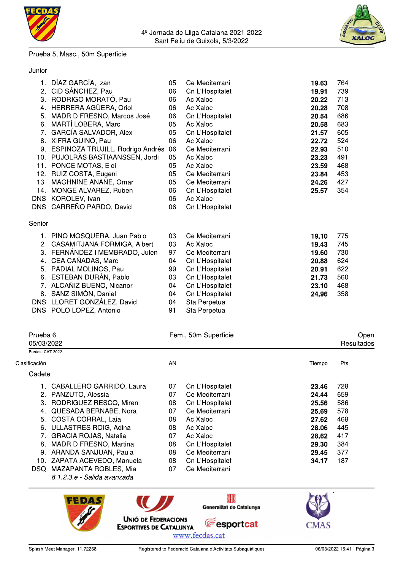

#### Prueba 5, Masc., 50m Superficie



| Junior |                                     |    |                 |       |     |
|--------|-------------------------------------|----|-----------------|-------|-----|
| 1.     | DÍAZ GARCÍA, Izan                   | 05 | Ce Mediterrani  | 19.63 | 764 |
|        | 2. CID SÁNCHEZ, Pau                 | 06 | Cn L'Hospitalet | 19.91 | 739 |
|        | 3. RODRIGO MORATÓ, Pau              | 06 | Ac Xaloc        | 20.22 | 713 |
| 4.     | HERRERA AGÜERA, Oriol               | 06 | Ac Xaloc        | 20.28 | 708 |
| 5.     | MADRID FRESNO, Marcos José          | 06 | Cn L'Hospitalet | 20.54 | 686 |
| 6.     | MARTÍ LOBERA, Marc                  | 05 | Ac Xaloc        | 20.58 | 683 |
|        | 7. GARCÍA SALVADOR, Alex            | 05 | Cn L'Hospitalet | 21.57 | 605 |
|        | 8. XIFRA GUINÖ, Pau                 | 06 | Ac Xaloc        | 22.72 | 524 |
|        | 9. ESPINOZA TRUJILL, Rodrigo Andrés | 06 | Ce Mediterrani  | 22.93 | 510 |
|        | 10. PUJOLRÀS BASTIAANSSEN, Jordi    | 05 | Ac Xaloc        | 23.23 | 491 |
| 11.    | PONCE MOTAS, Eloi                   | 05 | Ac Xaloc        | 23.59 | 468 |
|        | 12. RUIZ COSTA, Eugeni              | 05 | Ce Mediterrani  | 23.84 | 453 |
| 13.    | MAGHNINE ANANE, Omar                | 05 | Ce Mediterrani  | 24.26 | 427 |
| 14.    | MONGE ALVAREZ, Ruben                | 06 | Cn L'Hospitalet | 25.57 | 354 |
|        | DNS KOROLEV, Ivan                   | 06 | Ac Xaloc        |       |     |
|        | DNS CARREÑO PARDO, David            | 06 | Cn L'Hospitalet |       |     |
| Senior |                                     |    |                 |       |     |
|        | 1. PINO MOSQUERA, Juan Pablo        | 03 | Ce Mediterrani  | 19.10 | 775 |
| 2.     | CASAMITJANA FORMIGA, Albert         | 03 | Ac Xaloc        | 19.43 | 745 |
|        | 3. FERNÁNDEZ I MEMBRADO, Julen      | 97 | Ce Mediterrani  | 19.60 | 730 |
|        | 4. CEA CAÑADAS, Marc                | 04 | Cn L'Hospitalet | 20.88 | 624 |
|        | 5. PADIAL MOLINOS, Pau              | 99 | Cn L'Hospitalet | 20.91 | 622 |
| 6.     | ESTEBAN DURÁN, Pablo                | 03 | Cn L'Hospitalet | 21.73 | 560 |
| 7.     | ALCAÑIZ BUENO, Nicanor              | 04 | Cn L'Hospitalet | 23.10 | 468 |
| 8.     | SANZ SIMÓN, Daniel                  | 04 | Cn L'Hospitalet | 24.96 | 358 |
|        | DNS LLORET GONZÁLEZ, David          | 04 | Sta Perpetua    |       |     |
|        | DNS POLO LOPEZ, Antonio             | 91 | Sta Perpetua    |       |     |
|        |                                     |    |                 |       |     |
|        |                                     |    |                 |       |     |

| Prueba 6<br>05/03/2022   | Fem., 50m Superficie  | Open<br>Resultados |
|--------------------------|-----------------------|--------------------|
| Puntos: CAT 2022         |                       |                    |
| Clasificación            | AN                    | Pts<br>Tiempo      |
| Cadete                   |                       |                    |
| CABALLERO GARRIDO, Laura | 07<br>Cn L'Hospitalet | 728<br>23.46       |

|    | 1. CABALLERO GARRIDO, Laura   | 07 | Cn L'Hospitalet | 23.46 | 728 |
|----|-------------------------------|----|-----------------|-------|-----|
|    | 2. PANZUTO, Alessia           | 07 | Ce Mediterrani  | 24.44 | 659 |
|    | 3. RODRIGUEZ RESCO, Miren     | 08 | Cn L'Hospitalet | 25.56 | 586 |
|    | 4. QUESADA BERNABE, Nora      | 07 | Ce Mediterrani  | 25.69 | 578 |
|    | 5. COSTA CORRAL, Laia         | 08 | Ac Xaloc        | 27.62 | 468 |
|    | 6. ULLASTRES ROIG, Adina      | 08 | Ac Xaloc        | 28.06 | 445 |
|    | 7. GRACIA ROJAS, Natalia      | 07 | Ac Xaloc        | 28.62 | 417 |
| 8. | <b>MADRID FRESNO, Martina</b> | 08 | Cn L'Hospitalet | 29.30 | 384 |
|    | 9. ARANDA SANJUAN, Paula      | 08 | Ce Mediterrani  | 29.45 | 377 |
|    | 10. ZAPATA ACEVEDO, Manuela   | 08 | Cn L'Hospitalet | 34.17 | 187 |
|    | DSQ MAZAPANTA ROBLES, Mia     | 07 | Ce Mediterrani  |       |     |
|    |                               |    |                 |       |     |



UNIÓ DE FEDERACIONS

**ESPORTIVES DE CATALUNYA** 



www.fecdas.cat

 $\textcolor{red}{\blacksquare}$ 

**Fesportcat**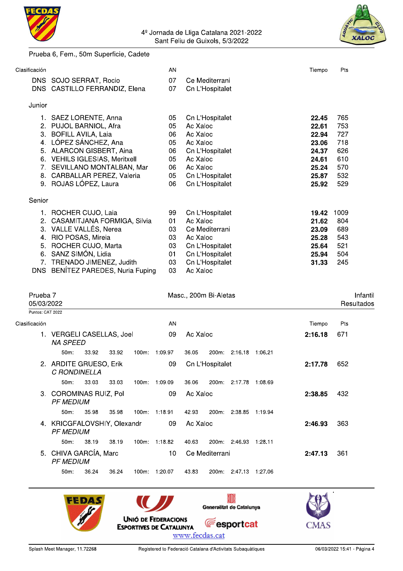



#### Prueba 6, Fem., 50m Superficie, Cadete

| Clasificación          |                                                            |       |       | AN            |                      |                       |                             | Tiempo         | Pts        |                        |
|------------------------|------------------------------------------------------------|-------|-------|---------------|----------------------|-----------------------|-----------------------------|----------------|------------|------------------------|
|                        | DNS SOJO SERRAT, Rocio                                     |       |       | 07            |                      | Ce Mediterrani        |                             |                |            |                        |
|                        | DNS CASTILLO FERRANDIZ, Elena                              |       |       | 07            |                      | Cn L'Hospitalet       |                             |                |            |                        |
| Junior                 |                                                            |       |       |               |                      |                       |                             |                |            |                        |
|                        | 1. SAEZ LORENTE, Anna                                      |       |       | 05            |                      | Cn L'Hospitalet       |                             | 22.45          | 765        |                        |
|                        | 2. PUJOL BARNIOL, Afra                                     |       |       | 05            | Ac Xaloc<br>Ac Xaloc |                       |                             | 22.61          | 753<br>727 |                        |
|                        | 3. BOFILL AVILA, Laia<br>4. LÓPEZ SÁNCHEZ, Ana             |       |       | 06<br>05      | Ac Xaloc             |                       |                             | 22.94<br>23.06 | 718        |                        |
|                        | 5. ALARCON GISBERT, Aina                                   |       |       | 06            |                      | Cn L'Hospitalet       |                             | 24.37          | 626        |                        |
|                        | 6. VEHILS IGLESIAS, Meritxell                              |       |       | 05            | Ac Xaloc             |                       |                             | 24.61          | 610        |                        |
|                        | 7. SEVILLANO MONTALBAN, Mar<br>8. CARBALLAR PEREZ, Valeria |       |       | 06<br>05      | Ac Xaloc             | Cn L'Hospitalet       |                             | 25.24<br>25.87 | 570<br>532 |                        |
|                        | 9. ROJAS LÓPEZ, Laura                                      |       |       | 06            |                      | Cn L'Hospitalet       |                             | 25.92          | 529        |                        |
| Senior                 |                                                            |       |       |               |                      |                       |                             |                |            |                        |
|                        | 1. ROCHER CUJO, Laia                                       |       |       | 99            |                      | Cn L'Hospitalet       |                             | 19.42          | 1009       |                        |
|                        | 2. CASAMITJANA FORMIGA, Silvia                             |       |       | 01            | Ac Xaloc             |                       |                             | 21.62          | 804        |                        |
|                        | 3. VALLE VALLÉS, Nerea<br>4. RIO POSAS, Mireia             |       |       | 03<br>03      | Ac Xaloc             | Ce Mediterrani        |                             | 23.09<br>25.28 | 689<br>543 |                        |
| 5.                     | ROCHER CUJO, Marta                                         |       |       | 03            |                      | Cn L'Hospitalet       |                             | 25.64          | 521        |                        |
| 6.                     | SANZ SIMÓN, Lidia                                          |       |       | 01            |                      | Cn L'Hospitalet       |                             | 25.94          | 504        |                        |
|                        | 7. TRENADO JIMENEZ, Judith                                 |       |       | 03            |                      | Cn L'Hospitalet       |                             | 31.33          | 245        |                        |
|                        | DNS BENÍTEZ PAREDES, Nuria Fuping                          |       |       | 03            | Ac Xaloc             |                       |                             |                |            |                        |
|                        |                                                            |       |       |               |                      |                       |                             |                |            |                        |
|                        |                                                            |       |       |               |                      |                       |                             |                |            |                        |
| Prueba 7<br>05/03/2022 |                                                            |       |       |               |                      | Masc., 200m Bi-Aletas |                             |                |            | Infantil<br>Resultados |
| Puntos: CAT 2022       |                                                            |       |       |               |                      |                       |                             |                |            |                        |
| Clasificación          |                                                            |       |       | AN            |                      |                       |                             | Tiempo         | Pts        |                        |
|                        | 1. VERGELI CASELLAS, Joel<br><b>NA SPEED</b>               |       |       | 09            | Ac Xaloc             |                       |                             | 2:16.18        | 671        |                        |
|                        | 50m:                                                       | 33.92 | 33.92 | 100m: 1:09.97 | 36.05                |                       | 200m: 2:16.18 1:06.21       |                |            |                        |
|                        | 2. ARDITE GRUESO, Erik<br>C RONDINELLA                     |       |       | 09            |                      | Cn L'Hospitalet       |                             | 2:17.78        | 652        |                        |
|                        | 50m:                                                       | 33.03 | 33.03 | 100m: 1:09.09 |                      |                       | 36.06 200m: 2:17.78 1:08.69 |                |            |                        |
|                        | 3. COROMINAS RUIZ, Pol<br><b>PF MEDIUM</b>                 |       |       |               | 09 Ac Xaloc          |                       |                             | 2:38.85        | 432        |                        |
|                        | 50m:                                                       | 35.98 | 35.98 | 100m: 1:18.91 | 42.93                |                       | 200m: 2:38.85 1:19.94       |                |            |                        |
|                        | 4. KRICGFALOVSHIY, Olexandr<br><b>PF MEDIUM</b>            |       |       |               | 09 Ac Xaloc          |                       |                             | 2:46.93        | 363        |                        |
|                        | 50m:                                                       | 38.19 | 38.19 | 100m: 1:18.82 | 40.63                |                       | 200m: 2:46.93 1:28.11       |                |            |                        |
|                        | 5. CHIVA GARCÍA, Marc<br><b>PF MEDIUM</b>                  |       |       | 10            |                      | Ce Mediterrani        |                             | 2:47.13        | 361        |                        |



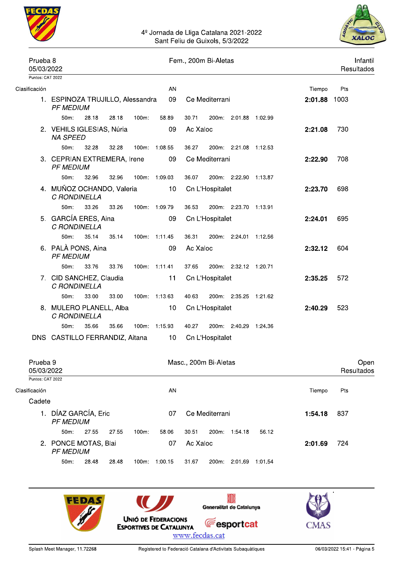



| Prueba <sub>8</sub><br>05/03/2022           |                                                      |                                                                           |       |       |                 |          | Fem., 200m Bi-Aletas  |                       |              | Infantil<br>Resultados |                    |
|---------------------------------------------|------------------------------------------------------|---------------------------------------------------------------------------|-------|-------|-----------------|----------|-----------------------|-----------------------|--------------|------------------------|--------------------|
| Puntos: CAT 2022                            |                                                      |                                                                           |       |       |                 |          |                       |                       |              |                        |                    |
| Clasificación                               |                                                      |                                                                           |       |       | AN              |          |                       |                       | Tiempo       | Pts                    |                    |
|                                             | 1. ESPINOZA TRUJILLO, Alessandra<br><b>PF MEDIUM</b> |                                                                           |       |       | 09              |          | Ce Mediterrani        |                       | 2:01.88 1003 |                        |                    |
|                                             | 50m:                                                 | 28.18                                                                     | 28.18 | 100m: | 58.89           | 30.71    |                       | 200m: 2:01.88 1:02.99 |              |                        |                    |
|                                             | 2. VEHILS IGLESIAS, Núria<br><b>NA SPEED</b>         |                                                                           |       |       | 09              | Ac Xaloc |                       |                       | 2:21.08      | 730                    |                    |
|                                             | 50m:                                                 | 32.28                                                                     | 32.28 |       | 100m: 1:08.55   | 36.27    |                       | 200m: 2:21.08 1:12.53 |              |                        |                    |
|                                             |                                                      | 3. CEPRIAN EXTREMERA, Irene<br><b>PF MEDIUM</b><br>50m:<br>32.96<br>32.96 |       |       |                 |          | Ce Mediterrani        |                       | 2:22.90      | 708                    |                    |
|                                             |                                                      |                                                                           |       |       | 100m 1:09.03    | 36.07    |                       | 200m: 2:22.90 1:13.87 |              |                        |                    |
|                                             | 4. MUÑOZ OCHANDO, Valeria<br>C RONDINELLA            |                                                                           |       |       | 10 <sup>1</sup> |          | Cn L'Hospitalet       |                       | 2:23.70      | 698                    |                    |
|                                             | 50m:                                                 | 33.26                                                                     | 33.26 |       | 100m: 1:09.79   | 36.53    |                       | 200m: 2:23.70 1:13.91 |              |                        |                    |
|                                             | 5. GARCÍA ERES, Aina<br>C RONDINELLA                 |                                                                           |       |       | 09              |          | Cn L'Hospitalet       |                       | 2:24.01      | 695                    |                    |
|                                             | $50m$ :                                              | 35.14                                                                     | 35.14 |       | 100m: 1:11.45   | 36.31    |                       | 200m: 2:24.01 1:12.56 |              |                        |                    |
|                                             | 6. PALÀ PONS, Aina<br><b>PF MEDIUM</b>               |                                                                           |       |       | 09              | Ac Xaloc |                       |                       | 2:32.12      | 604                    |                    |
|                                             | 50m:                                                 | 33.76                                                                     | 33.76 |       | 100m: 1:11.41   | 37.65    |                       | 200m: 2:32.12 1:20.71 |              |                        |                    |
|                                             | 7. CID SANCHEZ, Claudia<br>C RONDINELLA              |                                                                           |       |       | 11              |          | Cn L'Hospitalet       |                       | 2:35.25      | 572                    |                    |
|                                             | 50m:                                                 | 33.00                                                                     | 33.00 |       | 100m: 1:13.63   | 40.63    |                       | 200m: 2:35.25 1:21.62 |              |                        |                    |
|                                             | 8. MULERO PLANELL, Alba<br>C RONDINELLA              |                                                                           |       |       | 10              |          | Cn L'Hospitalet       |                       | 2:40.29      | 523                    |                    |
|                                             | $50m$ :                                              | 35.66                                                                     | 35.66 |       | 100m 1:15.93    | 40.27    |                       | 200m: 2:40.29 1:24.36 |              |                        |                    |
|                                             | DNS CASTILLO FERRANDIZ, Aitana                       |                                                                           |       |       | 10              |          | Cn L'Hospitalet       |                       |              |                        |                    |
| Prueba <sub>9</sub><br>05/03/2022           |                                                      |                                                                           |       |       |                 |          | Masc., 200m Bi-Aletas |                       |              |                        | Open<br>Resultados |
| Puntos: CAT 2022<br>Clasificación<br>Cadete |                                                      |                                                                           |       |       | AN              |          |                       |                       | Tiempo       | Pts                    |                    |

| 1. DÍAZ GARCÍA, Eric<br><b>PF MEDIUM</b> |       |       |          | 07      |       | Ce Mediterrani |         |         |  | -837 |  |
|------------------------------------------|-------|-------|----------|---------|-------|----------------|---------|---------|--|------|--|
| $50m$ :                                  | 27.55 | 27.55 | $100m$ : | 58.06   | 30.51 | 200m:          | 1:54.18 | 56.12   |  |      |  |
| 2. PONCE MOTAS, Blai<br><i>PF MEDIUM</i> |       | 07    | Ac Xaloc |         |       |                | 2:01.69 | 724     |  |      |  |
| $50m$ :                                  | 28.48 | 28.48 | 100m.    | 1:00.15 | 31.67 | 200m:          | 2:01.69 | 1:01.54 |  |      |  |

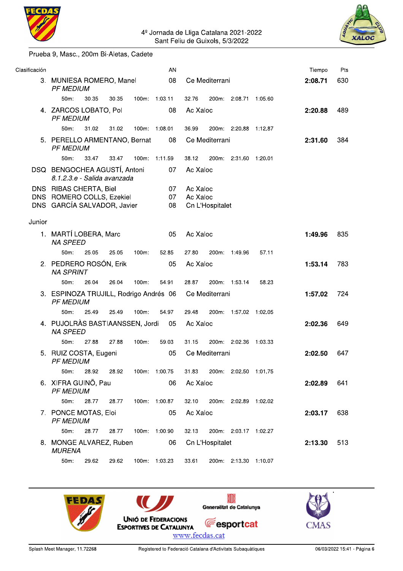



#### Prueba 9, Masc., 200m Bi-Aletas, Cadete

| Clasificación |                                                             |       |       |               | AN            |          |                 |                       |         | Tiempo  | Pts |
|---------------|-------------------------------------------------------------|-------|-------|---------------|---------------|----------|-----------------|-----------------------|---------|---------|-----|
|               | 3. MUNIESA ROMERO, Manel<br><b>PF MEDIUM</b>                |       |       |               | 08            |          | Ce Mediterrani  |                       |         | 2:08.71 | 630 |
|               | 50m:                                                        | 30.35 | 30.35 |               | 100m: 1:03.11 | 32.76    |                 | 200m: 2:08.71         | 1:05.60 |         |     |
|               | 4. ZARCOS LOBATO, Pol<br><b>PF MEDIUM</b>                   |       |       |               | 08            | Ac Xaloc |                 |                       |         | 2:20.88 | 489 |
|               | $50m$ :                                                     | 31.02 | 31.02 | 100m: 1:08.01 |               | 36.99    |                 | 200m: 2:20.88 1:12.87 |         |         |     |
|               | 5. PERELLO ARMENTANO, Bernat<br><b>PF MEDIUM</b>            |       |       |               | 08            |          | Ce Mediterrani  |                       |         | 2:31.60 | 384 |
|               | $50m$ :                                                     | 33.47 | 33.47 | 100m:         | 1:11.59       | 38.12    |                 | 200m: 2:31.60 1:20.01 |         |         |     |
|               | DSQ BENGOCHEA AGUSTÍ, Antoni<br>8.1.2.3.e - Salida avanzada |       |       |               | 07            | Ac Xaloc |                 |                       |         |         |     |
|               | DNS RIBAS CHERTA, Biel                                      |       |       |               | 07            | Ac Xaloc |                 |                       |         |         |     |
|               | DNS ROMERO COLLS, Ezekiel                                   |       |       |               | 07            | Ac Xaloc |                 |                       |         |         |     |
|               | DNS GARCÍA SALVADOR, Javier                                 |       |       |               | 08            |          | Cn L'Hospitalet |                       |         |         |     |
| Junior        |                                                             |       |       |               |               |          |                 |                       |         |         |     |
|               | 1. MARTÍ LOBERA, Marc<br><b>NA SPEED</b>                    |       |       |               | 05            | Ac Xaloc |                 |                       |         | 1:49.96 | 835 |
|               | $50m$ :                                                     | 25.05 | 25.05 | 100m:         | 52.85         | 27.80    | 200m:           | 1:49.96               | 57.11   |         |     |
|               | 2. PEDRERO ROSÓN, Erik<br><b>NA SPRINT</b>                  |       |       |               | 05            | Ac Xaloc |                 |                       |         | 1:53.14 | 783 |
|               | $50m$ :                                                     | 26.04 | 26.04 | $100m$ :      | 54.91         | 28.87    |                 | 200m: 1:53.14         | 58.23   |         |     |
|               | 3. ESPINOZA TRUJILL, Rodrigo Andrés 06<br><b>PF MEDIUM</b>  |       |       |               |               |          | Ce Mediterrani  |                       |         | 1:57.02 | 724 |
|               | $50m$ :                                                     | 25.49 | 25.49 | $100m$ :      | 54.97         | 29.48    |                 | 200m: 1:57.02 1:02.05 |         |         |     |
|               | 4. PUJOLRÀS BASTIAANSSEN, Jordi<br><b>NA SPEED</b>          |       |       |               | 05            | Ac Xaloc |                 |                       |         | 2:02.36 | 649 |
|               | $50m$ :                                                     | 27.88 | 27.88 | $100m$ :      | 59.03         | 31.15    |                 | 200m: 2:02.36         | 1:03.33 |         |     |
|               | 5. RUIZ COSTA, Eugeni<br><b>PF MEDIUM</b>                   |       |       |               | 05            |          | Ce Mediterrani  |                       |         | 2:02.50 | 647 |
|               | 50m:                                                        | 28.92 | 28.92 |               | 100m: 1:00.75 | 31.83    |                 | 200m: 2:02.50 1:01.75 |         |         |     |
|               | 6. XIFRA GUINÖ, Pau<br><b>PF MEDIUM</b>                     |       |       |               | 06            | Ac Xaloc |                 |                       |         | 2:02.89 | 641 |
|               | 50m:                                                        | 28.77 | 28.77 |               | 100m: 1:00.87 | 32.10    |                 | 200m: 2:02.89 1:02.02 |         |         |     |
|               | 7. PONCE MOTAS, Eloi<br><b>PF MEDIUM</b>                    |       |       |               | 05            | Ac Xaloc |                 |                       |         | 2:03.17 | 638 |
|               | $50m$ :                                                     | 28.77 | 28.77 |               | 100m: 1:00.90 | 32.13    |                 | 200m: 2:03.17 1:02.27 |         |         |     |
|               | 8. MONGE ALVAREZ, Ruben<br><b>MURENA</b>                    |       |       |               | 06            |          | Cn L'Hospitalet |                       |         | 2:13.30 | 513 |
|               | 50m:                                                        | 29.62 | 29.62 |               | 100m: 1:03.23 | 33.61    |                 | 200m: 2:13.30 1:10.07 |         |         |     |

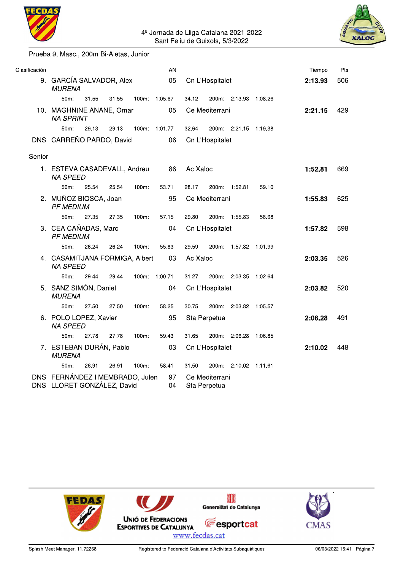

#### Prueba 9, Masc., 200m Bi-Aletas, Junior

| Clasificación |                                                               |       |       |          | AN            |          |                                |                       |       | Tiempo  | Pts |
|---------------|---------------------------------------------------------------|-------|-------|----------|---------------|----------|--------------------------------|-----------------------|-------|---------|-----|
|               | 9. GARCÍA SALVADOR, Alex<br><b>MURENA</b>                     |       |       |          | 05            |          | Cn L'Hospitalet                |                       |       | 2:13.93 | 506 |
|               | 50m:                                                          | 31.55 | 31.55 |          | 100m: 1:05.67 | 34.12    |                                | 200m: 2:13.93 1:08.26 |       |         |     |
|               | 10. MAGHNINE ANANE, Omar<br><b>NA SPRINT</b>                  |       |       |          | 05            |          | Ce Mediterrani                 |                       |       | 2:21.15 | 429 |
|               | $50m$ :                                                       | 29.13 | 29.13 |          | 100m: 1:01.77 | 32.64    |                                | 200m: 2:21.15 1:19.38 |       |         |     |
|               | DNS CARREÑO PARDO, David                                      |       |       |          | 06            |          | Cn L'Hospitalet                |                       |       |         |     |
| Senior        |                                                               |       |       |          |               |          |                                |                       |       |         |     |
|               | 1. ESTEVA CASADEVALL, Andreu<br><b>NA SPEED</b>               |       |       |          | 86            | Ac Xaloc |                                |                       |       | 1:52.81 | 669 |
|               | 50m:                                                          | 25.54 | 25.54 | 100m:    | 53.71         | 28.17    |                                | 200m: 1:52.81         | 59.10 |         |     |
|               | 2. MUÑOZ BIOSCA, Joan<br><b>PF MEDIUM</b>                     |       |       |          | 95            |          | Ce Mediterrani                 |                       |       | 1:55.83 | 625 |
|               | $50m$ :                                                       | 27.35 | 27.35 | $100m$ : | 57.15         | 29.80    |                                | 200m: 1:55.83         | 58.68 |         |     |
|               | 3. CEA CAÑADAS, Marc<br><b>PF MEDIUM</b>                      |       |       |          | 04            |          | Cn L'Hospitalet                |                       |       | 1:57.82 | 598 |
|               | $50m$ :                                                       | 26.24 | 26.24 | 100m:    | 55.83         | 29.59    |                                | 200m: 1:57.82 1:01.99 |       |         |     |
|               | 4. CASAMITJANA FORMIGA, Albert<br><b>NA SPEED</b>             |       |       |          | 03            | Ac Xaloc |                                |                       |       | 2:03.35 | 526 |
|               | 50m:                                                          | 29.44 | 29.44 |          | 100m: 1:00.71 | 31.27    |                                | 200m: 2:03.35 1:02.64 |       |         |     |
|               | 5. SANZ SIMÓN, Daniel<br><b>MURENA</b>                        |       |       |          | 04            |          | Cn L'Hospitalet                |                       |       | 2:03.82 | 520 |
|               | $50m$ :                                                       | 27.50 | 27.50 | $100m$ : | 58.25         | 30.75    |                                | 200m: 2:03.82 1:05.57 |       |         |     |
|               | 6. POLO LOPEZ, Xavier<br><b>NA SPEED</b>                      |       |       |          | 95            |          | Sta Perpetua                   |                       |       | 2:06.28 | 491 |
|               | 50m:                                                          | 27.78 | 27.78 | $100m$ : | 59.43         | 31.65    |                                | 200m: 2:06.28 1:06.85 |       |         |     |
|               | 7. ESTEBAN DURÁN, Pablo<br><b>MURENA</b>                      |       |       |          | 03            |          | Cn L'Hospitalet                |                       |       | 2:10.02 | 448 |
|               | 50m:                                                          | 26.91 | 26.91 | 100m:    | 58.41         | 31.50    |                                | 200m: 2:10.02 1:11.61 |       |         |     |
|               | DNS FERNÁNDEZ I MEMBRADO, Julen<br>DNS LLORET GONZÁLEZ, David |       |       |          | 97<br>04      |          | Ce Mediterrani<br>Sta Perpetua |                       |       |         |     |

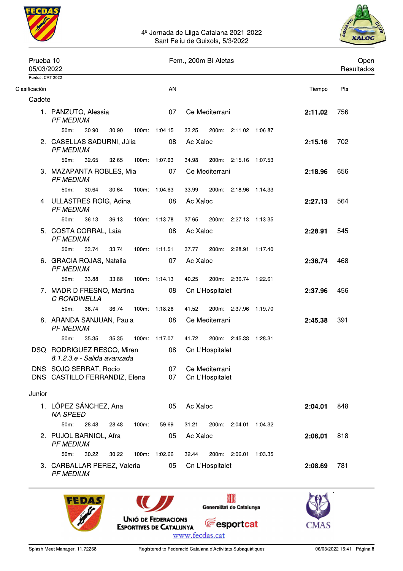



| 05/03/2022       |                                                           |       |       |          |               |          | Fem., 200m Bi-Aletas              |                       |         |         |     | Open<br>Resultados |
|------------------|-----------------------------------------------------------|-------|-------|----------|---------------|----------|-----------------------------------|-----------------------|---------|---------|-----|--------------------|
| Puntos: CAT 2022 |                                                           |       |       |          |               |          |                                   |                       |         |         |     |                    |
| Clasificación    |                                                           |       |       |          | AN            |          |                                   |                       |         | Tiempo  | Pts |                    |
| Cadete           | 1. PANZUTO, Alessia<br><b>PF MEDIUM</b>                   |       |       |          | 07            |          | Ce Mediterrani                    |                       |         | 2:11.02 | 756 |                    |
|                  | 50m:                                                      | 30.90 | 30.90 |          | 100m: 1:04.15 | 33.25    |                                   | 200m: 2:11.02 1:06.87 |         |         |     |                    |
|                  | 2. CASELLAS SADURNI, Júlia<br><b>PF MEDIUM</b>            |       |       |          | 08            | Ac Xaloc |                                   |                       |         | 2:15.16 | 702 |                    |
|                  | $50m$ :                                                   | 32.65 | 32.65 |          | 100m: 1:07.63 | 34.98    |                                   | 200m: 2:15.16 1:07.53 |         |         |     |                    |
|                  | 3. MAZAPANTA ROBLES, Mia<br><b>PF MEDIUM</b>              |       |       |          | 07            |          | Ce Mediterrani                    |                       |         | 2:18.96 | 656 |                    |
|                  | 50m:                                                      | 30.64 | 30.64 |          | 100m: 1:04.63 | 33.99    |                                   | 200m: 2:18.96 1:14.33 |         |         |     |                    |
|                  | 4. ULLASTRES ROIG, Adina<br><b>PF MEDIUM</b>              |       |       |          | 08            | Ac Xaloc |                                   |                       |         | 2:27.13 | 564 |                    |
|                  | $50m$ :                                                   | 36.13 | 36.13 |          | 100m: 1:13.78 | 37.65    |                                   | 200m: 2:27.13 1:13.35 |         |         |     |                    |
|                  | 5. COSTA CORRAL, Laia<br><b>PF MEDIUM</b>                 |       |       |          | 08            | Ac Xaloc |                                   |                       |         | 2:28.91 | 545 |                    |
|                  | 50m:                                                      | 33.74 | 33.74 |          | 100m: 1:11.51 | 37.77    |                                   | 200m: 2:28.91 1:17.40 |         |         |     |                    |
|                  | 6. GRACIA ROJAS, Natalia<br><b>PF MEDIUM</b>              |       |       |          | 07            | Ac Xaloc |                                   |                       |         | 2:36.74 | 468 |                    |
|                  | 50m:                                                      | 33.88 | 33.88 |          | 100m: 1:14.13 | 40.25    |                                   | 200m: 2:36.74 1:22.61 |         |         |     |                    |
|                  | 7. MADRID FRESNO, Martina<br>C RONDINELLA                 |       |       |          | 08            |          | Cn L'Hospitalet                   |                       |         | 2:37.96 | 456 |                    |
|                  | $50m$ :                                                   | 36.74 | 36.74 |          | 100m: 1:18.26 | 41.52    |                                   | 200m: 2:37.96 1:19.70 |         |         |     |                    |
|                  | 8. ARANDA SANJUAN, Paula<br><b>PF MEDIUM</b>              |       |       |          | 08            |          | Ce Mediterrani                    |                       |         | 2:45.38 | 391 |                    |
|                  | $50m$ :                                                   | 35.35 | 35.35 |          | 100m: 1:17.07 | 41.72    |                                   | 200m: 2:45.38 1:28.31 |         |         |     |                    |
|                  | DSQ RODRIGUEZ RESCO, Miren<br>8.1.2.3.e - Salida avanzada |       |       |          | 08            |          | Cn L'Hospitalet                   |                       |         |         |     |                    |
|                  | DNS SOJO SERRAT, Rocio<br>DNS CASTILLO FERRANDIZ, Elena   |       |       |          | 07<br>07      |          | Ce Mediterrani<br>Cn L'Hospitalet |                       |         |         |     |                    |
| Junior           |                                                           |       |       |          |               |          |                                   |                       |         |         |     |                    |
|                  | 1. LÓPEZ SÁNCHEZ, Ana<br><b>NA SPEED</b>                  |       |       |          | 05            | Ac Xaloc |                                   |                       |         | 2:04.01 | 848 |                    |
|                  | 50m:                                                      | 28.48 | 28.48 | $100m$ : | 59.69         | 31.21    |                                   | 200m: 2:04.01         | 1:04.32 |         |     |                    |
|                  | 2. PUJOL BARNIOL, Afra<br><b>PF MEDIUM</b>                |       |       |          | 05            | Ac Xaloc |                                   |                       |         | 2:06.01 | 818 |                    |
|                  | 50m:                                                      | 30.22 | 30.22 |          | 100m: 1:02.66 | 32.44    |                                   | 200m: 2:06.01         | 1:03.35 |         |     |                    |
|                  | 3. CARBALLAR PEREZ, Valeria<br><b>PF MEDIUM</b>           |       |       |          | 05            |          | Cn L'Hospitalet                   |                       |         | 2:08.69 | 781 |                    |



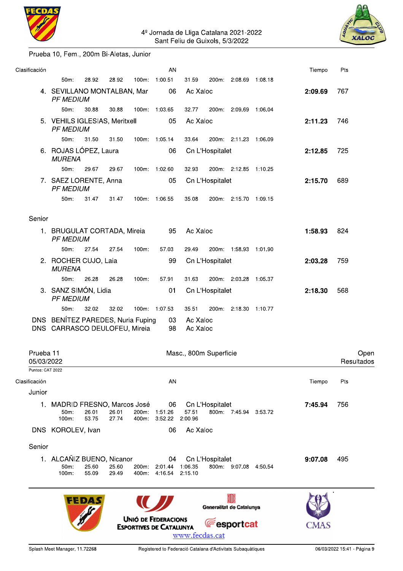

#### Prueba 10, Fem., 200m Bi-Aletas, Junior

| Clasificación           |                                                                    |                |                |                                | AN                             |                      |                          |                       | Tiempo  | Pts                |
|-------------------------|--------------------------------------------------------------------|----------------|----------------|--------------------------------|--------------------------------|----------------------|--------------------------|-----------------------|---------|--------------------|
|                         | $50m$ :                                                            | 28.92          | 28.92          |                                | 100m: 1:00.51                  | 31.59                |                          | 200m: 2:08.69 1:08.18 |         |                    |
|                         | 4. SEVILLANO MONTALBAN, Mar<br><b>PF MEDIUM</b>                    |                |                |                                | 06                             | Ac Xaloc             |                          |                       | 2:09.69 | 767                |
|                         | 50m:                                                               | 30.88          | 30.88          |                                | 100m 1:03.65                   | 32.77                |                          | 200m: 2:09.69 1:06.04 |         |                    |
|                         | 5. VEHILS IGLESIAS, Meritxell<br><b>PF MEDIUM</b>                  |                |                |                                | 05                             | Ac Xaloc             |                          |                       | 2:11.23 | 746                |
|                         | $50m$ :                                                            | 31.50          | 31.50          |                                | 100m: 1:05.14                  | 33.64                |                          | 200m: 2:11.23 1:06.09 |         |                    |
|                         | 6. ROJAS LÓPEZ, Laura<br><b>MURENA</b>                             |                |                |                                | 06                             |                      | Cn L'Hospitalet          |                       | 2:12.85 | 725                |
|                         | 50m:                                                               | 29.67          | 29.67          |                                | 100m: 1:02.60                  | 32.93                |                          | 200m: 2:12.85 1:10.25 |         |                    |
|                         | 7. SAEZ LORENTE, Anna<br><b>PF MEDIUM</b>                          |                |                |                                | 05                             |                      | Cn L'Hospitalet          |                       | 2:15.70 | 689                |
|                         | $50m$ :                                                            | 31.47          | 31.47          |                                | 100m: 1:06.55                  | 35.08                |                          | 200m: 2:15.70 1:09.15 |         |                    |
| Senior                  |                                                                    |                |                |                                |                                |                      |                          |                       |         |                    |
|                         | 1. BRUGULAT CORTADA, Mireia<br><b>PF MEDIUM</b>                    |                |                |                                | 95                             | Ac Xaloc             |                          |                       | 1:58.93 | 824                |
|                         | 50m:                                                               | 27.54          | 27.54          | 100m:                          | 57.03                          | 29.49                |                          | 200m: 1:58.93 1:01.90 |         |                    |
|                         | 2. ROCHER CUJO, Laia<br><b>MURENA</b>                              |                |                |                                | 99                             |                      | Cn L'Hospitalet          |                       | 2:03.28 | 759                |
|                         | 50m:                                                               | 26.28          | 26.28          | 100m:                          | 57.91                          | 31.63                |                          | 200m: 2:03.28 1:05.37 |         |                    |
|                         | 3. SANZ SIMÓN, Lidia<br><b>PF MEDIUM</b>                           |                |                |                                | 01                             |                      | Cn L'Hospitalet          |                       | 2:18.30 | 568                |
|                         | $50m$ :                                                            | 32.02          | 32.02          |                                | 100m: 1:07.53                  | 35.51                |                          | 200m: 2:18.30 1:10.77 |         |                    |
|                         | DNS BENÍTEZ PAREDES, Nuria Fuping<br>DNS CARRASCO DEULOFEU, Mireia |                |                |                                | 03<br>98                       | Ac Xaloc<br>Ac Xaloc |                          |                       |         |                    |
| Prueba 11<br>05/03/2022 |                                                                    |                |                |                                |                                |                      | Masc., 800m Superficie   |                       |         | Open<br>Resultados |
| Puntos: CAT 2022        |                                                                    |                |                |                                |                                |                      |                          |                       |         |                    |
| Clasificación           |                                                                    |                |                |                                | AN                             |                      |                          |                       | Tiempo  | Pts                |
| Junior                  |                                                                    |                |                |                                |                                |                      |                          |                       |         |                    |
|                         | 1. MADRID FRESNO, Marcos José<br>50m:<br>100m:                     | 26.01<br>53.75 | 26.01<br>27.74 | 400m:                          | 06<br>200m: 1:51.26<br>3:52.22 | 57.51<br>2:00.96     | Cn L'Hospitalet          | 800m: 7:45.94 3:53.72 | 7:45.94 | 756                |
|                         | DNS KOROLEV, Ivan                                                  |                |                |                                | 06                             | Ac Xaloc             |                          |                       |         |                    |
| Senior                  |                                                                    |                |                |                                |                                |                      |                          |                       |         |                    |
|                         | 1. ALCAÑIZ BUENO, Nicanor<br>50m:<br>$100m$ :                      | 25.60<br>55.09 | 25.60<br>29.49 | 200m:                          | 04<br>2:01.44<br>400m: 4:16.54 | 1:06.35<br>2:15.10   | Cn L'Hospitalet          | 800m: 9:07.08 4:50.54 | 9:07.08 | 495                |
|                         |                                                                    | FEDAS          |                |                                |                                |                      | Generalitat de Catalunya |                       |         |                    |
|                         |                                                                    |                |                | <b>UNIÓ DE FEDERACIONS</b>     |                                |                      |                          |                       |         |                    |
|                         |                                                                    |                |                | <b>ESPORTIVES DE CATALUNYA</b> |                                | www.fecdas.cat       |                          | <b>Fesportcat</b>     | CMAS    |                    |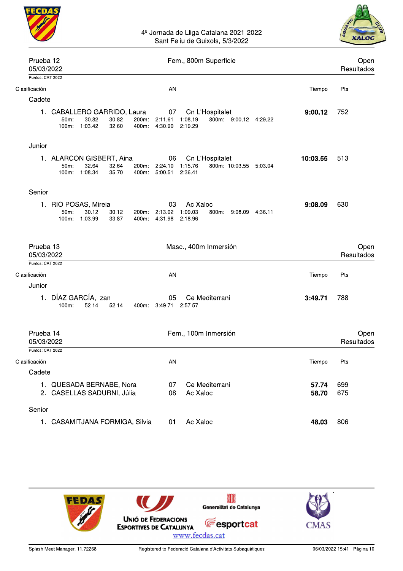



| Prueba 12<br>05/03/2022                     | Fem., 800m Superficie                                                                                                                                                                         | Open<br>Resultados |                    |  |
|---------------------------------------------|-----------------------------------------------------------------------------------------------------------------------------------------------------------------------------------------------|--------------------|--------------------|--|
| Puntos: CAT 2022                            |                                                                                                                                                                                               |                    |                    |  |
| Clasificación                               | AN                                                                                                                                                                                            | Tiempo             | Pts                |  |
| Cadete                                      |                                                                                                                                                                                               |                    |                    |  |
|                                             | 1. CABALLERO GARRIDO, Laura<br>Cn L'Hospitalet<br>07<br>200m: 2:11.61<br>30.82<br>30.82<br>1:08.19<br>800m: 9:00.12 4:29.22<br>$50m$ :<br>100m: 1:03.42<br>32.60<br>400m: 4:30.90<br>2:19.29  | 9:00.12            | 752                |  |
| Junior                                      |                                                                                                                                                                                               |                    |                    |  |
|                                             | 1. ALARCON GISBERT, Aina<br>06<br>Cn L'Hospitalet<br>32.64<br>1:15.76<br>800m: 10:03.55 5:03.04<br>$50m$ :<br>32.64<br>200m: 2:24.10<br>1:08.34<br>35.70<br>400m: 5:00.51<br>2:36.41<br>100m: | 10:03.55           | 513                |  |
| Senior                                      |                                                                                                                                                                                               |                    |                    |  |
|                                             | Ac Xaloc<br>1. RIO POSAS, Mireia<br>03<br>2:13.02 1:09.03<br>50m:<br>30.12<br>30.12<br>200m:<br>800m: 9:08.09 4:36.11<br>1:03.99<br>$100m$ :<br>33.87<br>400m: 4:31.98<br>2:18.96             | 9:08.09            | 630                |  |
| Prueba 13<br>05/03/2022                     | Masc., 400m Inmersión                                                                                                                                                                         |                    | Open<br>Resultados |  |
| Puntos: CAT 2022                            |                                                                                                                                                                                               |                    |                    |  |
| Clasificación                               | AN                                                                                                                                                                                            | Tiempo             | Pts                |  |
| Junior                                      | 1. DÍAZ GARCÍA, Izan<br>Ce Mediterrani<br>05<br>100m:<br>52.14<br>52.14<br>400m: 3:49.71 2:57.57                                                                                              | 3:49.71            | 788                |  |
| Prueba 14<br>05/03/2022<br>Puntos: CAT 2022 | Fem., 100m Inmersión                                                                                                                                                                          |                    | Open<br>Resultados |  |
| Clasificación                               | AN                                                                                                                                                                                            | Tiempo             | Pts                |  |
| Cadete                                      |                                                                                                                                                                                               |                    |                    |  |
|                                             | Ce Mediterrani<br>1. QUESADA BERNABE, Nora<br>07<br>2. CASELLAS SADURNI, Júlia<br>08<br>Ac Xaloc                                                                                              | 57.74<br>58.70     | 699<br>675         |  |
| Senior                                      |                                                                                                                                                                                               |                    |                    |  |
|                                             | 1. CASAMITJANA FORMIGA, Silvia<br>Ac Xaloc<br>01                                                                                                                                              | 48.03              | 806                |  |

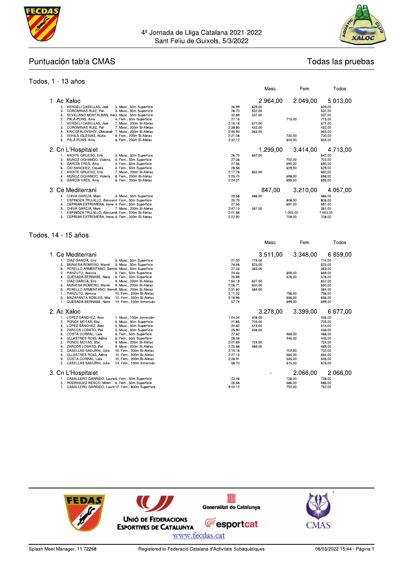



Todas las pruebas

Todos

Masc.

Fem.

#### Puntuación tabla CMAS

#### Todos, 1 - 13 años

| 1. Ac Xaloc<br>2. VERGELI CASELLAS, Joel<br>3. Masc., 50m Superficie<br>COROMINAS RUIZ, Pol<br>3.<br>3. Masc., 50m Superficie<br>5.<br>SEVILLANO MONTALBAN, Ale3. Masc., 50m Superficie<br>2.<br>4. Fem., 50m Superficie<br>PALA PONS, Aina<br>VERGELI CASELLAS, Joel<br>7. Masc., 200m Bi-Aletas<br>$\mathbf{1}$ .<br>7. Masc., 200m Bi-Aletas<br>3.<br>COROMINAS RUIZ, Pol<br>4.<br>KRICGFALOVSHIY, Olexandr 7. Masc., 200m Bi-Aletas<br>2.<br>VEHILS IGLESIAS, Núria<br>8. Fem., 200m Bi-Aletas<br>6.<br>PALÀ PONS, Aina<br>8. Fem., 200m Bi-Aletas                                                                                                                                                  | 26.99<br>28.70<br>32.89<br>27.15<br>2:16.18<br>2:38.85<br>2:46.93<br>2:21.08<br>2:32.12                              | 2.964,00<br>629.00<br>532,00<br>337,00<br>671.00<br>432.00<br>363,00 | 2.049,00<br>715,00<br>730.00<br>604,00                               | 5.013,00<br>629.00<br>532,00<br>337,00<br>715,00<br>671.00<br>432,00<br>363,00<br>730,00<br>604,00                               |
|---------------------------------------------------------------------------------------------------------------------------------------------------------------------------------------------------------------------------------------------------------------------------------------------------------------------------------------------------------------------------------------------------------------------------------------------------------------------------------------------------------------------------------------------------------------------------------------------------------------------------------------------------------------------------------------------------------|----------------------------------------------------------------------------------------------------------------------|----------------------------------------------------------------------|----------------------------------------------------------------------|----------------------------------------------------------------------------------------------------------------------------------|
| 2. Cn L'Hospitalet<br>1. ARDITE GRUESO, Erik<br>3. Masc., 50m Superficie<br>MUÑOZ OCHANDO, Valeria<br>4. Fem., 50m Superficie<br>3.<br>5.<br>4. Fem., 50m Superficie<br>GARCIA ERES, Aina<br>6.<br>CID SANCHEZ, Claudia<br>4. Fem., 50m Superficie<br>2.<br>ARDITE GRUESO, Erik<br>7. Masc., 200m Bi-Aletas<br>4.<br>MUÑOZ OCHANDO, Valeria<br>8. Fem., 200m Bi-Aletas<br>5.<br>GARCÍA ERES, Aina<br>8. Fem., 200m Bi-Aletas                                                                                                                                                                                                                                                                            | 26.70<br>27.36<br>27.56<br>28.58<br>2:17.78<br>2:23.70<br>2:24.01                                                    | 1.299,00<br>647.00<br>652,00                                         | 3.414,00<br>702,00<br>690,00<br>629.00<br>698.00<br>695,00           | 4.713,00<br>647.00<br>702,00<br>690,00<br>629.00<br>652,00<br>698.00<br>695,00                                                   |
| 3. Ce Mediterrani<br>4. CHIVA GARCÍA, Marc<br>3. Masc., 50m Superficie<br>ESPINOZA TRUJILLO, Alessan4. Fem., 50m Superficie<br>1.<br>CEPRIAN EXTREMERA, Irene 4. Fem., 50m Superficie<br>4.<br>CHIVA GARCÍA, Marc<br>7. Masc., 200m Bi-Aletas<br>5.<br>ESPINOZA TRUJILLO, Alessan8. Fem., 200m Bi-Aletas<br>1.<br>3. CEPRIAN EXTREMERA, Irene 8. Fem., 200m Bi-Aletas                                                                                                                                                                                                                                                                                                                                   | 29.58<br>25.75<br>27.53<br>2:47.13<br>2:01.88<br>2:22.90                                                             | 847,00<br>486,00<br>361,00                                           | 3.210,00<br>808,00<br>691,00<br>1.003,00<br>708,00                   | 4.057,00<br>486,00<br>808,00<br>691,00<br>361,00<br>1.003,00<br>708,00                                                           |
| Todos, 14 - 15 años                                                                                                                                                                                                                                                                                                                                                                                                                                                                                                                                                                                                                                                                                     |                                                                                                                      | Masc.                                                                | Fem.                                                                 | Todos                                                                                                                            |
| 1. Ce Mediterrani<br>1. DÍAZ GARCÍA, Eric<br>5. Masc., 50m Superficie<br>MUNIESA ROMERO, Manel 5. Masc., 50m Superficie<br>3.<br>PERELLO ARMENTANO, Berna5. Masc., 50m Superficie<br>6.<br>2.<br>PANZUTO, Alessia<br>6. Fem., 50m Superficie<br>4.<br>QUESADA BERNABE, Nora<br>6. Fem., 50m Superficie<br>1.<br>DÍAZ GARCÍA, Eric<br>9. Masc., 200m Bi-Aletas<br>3.<br>MUNIESA ROMERO, Manel<br>9. Masc., 200m Bi-Aletas<br>PERELLO ARMENTANO, Berna9. Masc., 200m Bi-Aletas<br>5.<br>PANZUTO, Alessia<br>10. Fem., 200m Bi-Aletas<br>$\mathbf{1}$ .<br>MAZAPANTA ROBLES, Mia<br>10. Fem., 200m Bi-Aletas<br>3.<br>QUESADA BERNABE, Nora<br>14. Fem., 100m Inmersión<br>1.                              | 21.00<br>24.46<br>27.33<br>24.44<br>25.69<br>1:54.18<br>2:08.71<br>2:31.60<br>2:11.02<br>2:18.96<br>57.74            | 3.511,00<br>774.00<br>523,00<br>363,00<br>837,00<br>630.00<br>384,00 | 3.348,00<br>659.00<br>578,00<br>756.00<br>656,00<br>699,00           | 6.859,00<br>774.00<br>523,00<br>363,00<br>659,00<br>578,00<br>837,00<br>630,00<br>384,00<br>756,00<br>656,00<br>699,00           |
| 2. Ac Xaloc                                                                                                                                                                                                                                                                                                                                                                                                                                                                                                                                                                                                                                                                                             |                                                                                                                      |                                                                      |                                                                      |                                                                                                                                  |
| 1. LÓPEZ SÁNCHEZ, Alex<br>1. Masc., 100m Inmersión<br>PONCE MOTAS, Blai<br>2.<br>5. Masc., 50m Superficie<br>LÓPEZ SÁNCHEZ, Alex<br>4.<br>5. Masc., 50m Superficie<br>5.<br>ZARCOS LOBATO, Pol<br>5. Masc., 50m Superficie<br>COSTA CORRAL, Laia<br>5.<br>6. Fem., 50m Superficie<br>ULLASTRES ROIG, Adina<br>6. Fem., 50m Superficie<br>6.<br>9. Masc., 200m Bi-Aletas<br>2.<br>PONCE MOTAS, Blai<br>9. Masc., 200m Bi-Aletas<br>4.<br>ZARCOS LOBATO, Pol<br>2.<br>CASELLAS SADURNI, Júlia<br>10. Fem., 200m Bi-Aletas<br>ULLASTRES ROIG, Adina<br>10. Fem., 200m Bi-Aletas<br>4.<br>5.<br>COSTA CORRAL, Laia<br>10. Fem., 200m Bi-Aletas<br>2.<br>CASELLAS SADURNI, Júlia<br>14. Fem., 100m Inmersión | 1:04.34<br>21.85<br>24.60<br>25.90<br>27.62<br>28.06<br>2:01.69<br>2:20.88<br>2:15.16<br>2:27.13<br>2:28.91<br>58.70 | 3.278,00<br>408.00<br>705,00<br>514,00<br>438,00<br>724,00<br>489,00 | 3.399,00<br>468,00<br>445,00<br>702,00<br>564.00<br>545.00<br>675,00 | 6.677,00<br>408,00<br>705,00<br>514,00<br>438.00<br>468,00<br>445,00<br>724,00<br>489,00<br>702,00<br>564.00<br>545.00<br>675,00 |

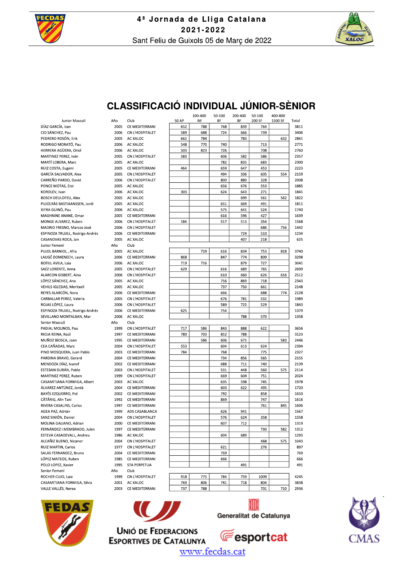



### **CLASSIFICACIÓ INDIVIDUAL JÚNIOR-SÈNIOR**

Junior Masculí DÍAZ GARCÍA Izan CID SÁNCHEZ, Pau PEDRERO ROSÓN, Erik RODRIGO MORATÓ, Pau HERRERA AGÜERA, Oriol MARTINEZ PEREZ, Iván MARTÍ LOBERA, Marc RUIZ COSTA, Eugeni **GARCÍA SALVADOR, Alex** CARREÑO PARDO, David PONCE MOTAS, Floi KOROLEV, Ivan **BOSCH DEULOFEU, Alex** PUJOLRÀS BASTIAANSSEN, Jordi XIFRA GUINÖ, Pau MAGHNINE ANANE, Omar MONGE ALVAREZ, Ruben MADRID FRESNO, Marcos José ESPINOZA TRUJILL, Rodrigo Andrés CASANOVAS ROCA, Jan Junior Femení PUJOL BARNIOL . Afra LAUGÉ DOMENECH, Laura **BOFILL AVILA, Laia** SAEZ LORENTE, Anna **ALARCON GISBERT, Aina** LÓPEZ SÁNCHEZ Ana VEHILS IGLESIAS, Meritxell REYES ALARCÓN, Nora CARBALLAR PEREZ, Valeria ROJAS LÓPEZ, Laura ESPINOZA TRUJILL, Rodrigo Andrés SEVILLANO MONTALBAN, Mar Senior Masculí PADIAL MOLINOS, Paul RIOIA REINA, Raúl MUÑOZ BIOSCA, Joan CEA CAÑADAS, Marc PINO MOSQUERA, Juan Pablo PARDINA BRAVO, Gerard MENDOZA DÍAZ. Ivanof ESTEBAN DURÁN, Pablo MARTINEZ PEREZ, Ruben CASAMITJANA FORMIGA, Albert ÀI VAREZ ANTÚNEZ, Jordà BAYÉS EZQUERRO, Pol CÂTÂRIG, Alin Tani RIVERA CASALINS, Carlos AGEA PAZ, Adrián SANZ SIMÓN, Daniel MOLINA GALIANO, Adrian EERNÁNDEZ I MEMBRADO, Julen ESTEVA CASADEVALL, Andreu ALCAÑIZ BUENO, Nicanor RUIZ MARTIN, Carlos SALAS FERNANDEZ, Bruno LÓPEZ MATEOS, Ruben POLO LOPEZ, Xavier Senior Femení ROCHER CUIO, Laja CASAMITJANA FORMIGA, Silvia VALLE VALLÉS Nerea











www.fecdas.cat